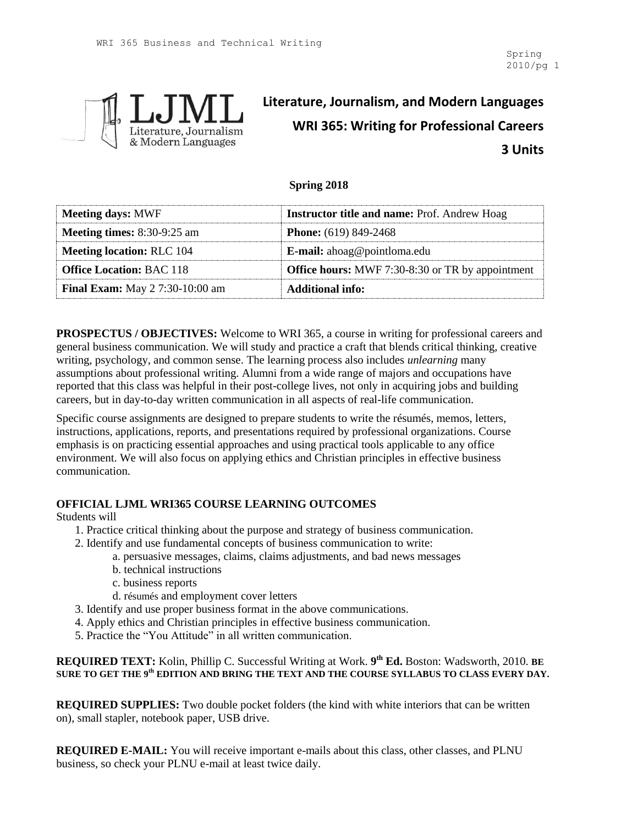

## **Literature, Journalism, and Modern Languages WRI 365: Writing for Professional Careers 3 Units**

#### **Spring 2018**

| <b>Meeting days: MWF</b>               | <b>Instructor title and name: Prof. Andrew Hoag</b>     |
|----------------------------------------|---------------------------------------------------------|
| <b>Meeting times:</b> $8:30-9:25$ am   | <b>Phone:</b> $(619) 849-2468$                          |
| <b>Meeting location: RLC 104</b>       | <b>E-mail:</b> ahoag@pointloma.edu                      |
| <b>Office Location: BAC 118</b>        | <b>Office hours:</b> MWF 7:30-8:30 or TR by appointment |
| <b>Final Exam:</b> May 2 7:30-10:00 am | Additional info:                                        |

**PROSPECTUS / OBJECTIVES:** Welcome to WRI 365, a course in writing for professional careers and general business communication. We will study and practice a craft that blends critical thinking, creative writing, psychology, and common sense. The learning process also includes *unlearning* many assumptions about professional writing. Alumni from a wide range of majors and occupations have reported that this class was helpful in their post-college lives, not only in acquiring jobs and building careers, but in day-to-day written communication in all aspects of real-life communication.

Specific course assignments are designed to prepare students to write the résumés, memos, letters, instructions, applications, reports, and presentations required by professional organizations. Course emphasis is on practicing essential approaches and using practical tools applicable to any office environment. We will also focus on applying ethics and Christian principles in effective business communication.

#### **OFFICIAL LJML WRI365 COURSE LEARNING OUTCOMES**

Students will

- 1. Practice critical thinking about the purpose and strategy of business communication.
- 2. Identify and use fundamental concepts of business communication to write:
	- a. persuasive messages, claims, claims adjustments, and bad news messages
	- b. technical instructions
	- c. business reports
	- d. résumés and employment cover letters
- 3. Identify and use proper business format in the above communications.
- 4. Apply ethics and Christian principles in effective business communication.
- 5. Practice the "You Attitude" in all written communication.

#### **REQUIRED TEXT:** Kolin, Phillip C. Successful Writing at Work. **9 th Ed.** Boston: Wadsworth, 2010. **BE SURE TO GET THE 9th EDITION AND BRING THE TEXT AND THE COURSE SYLLABUS TO CLASS EVERY DAY.**

**REQUIRED SUPPLIES:** Two double pocket folders (the kind with white interiors that can be written on), small stapler, notebook paper, USB drive.

**REQUIRED E-MAIL:** You will receive important e-mails about this class, other classes, and PLNU business, so check your PLNU e-mail at least twice daily.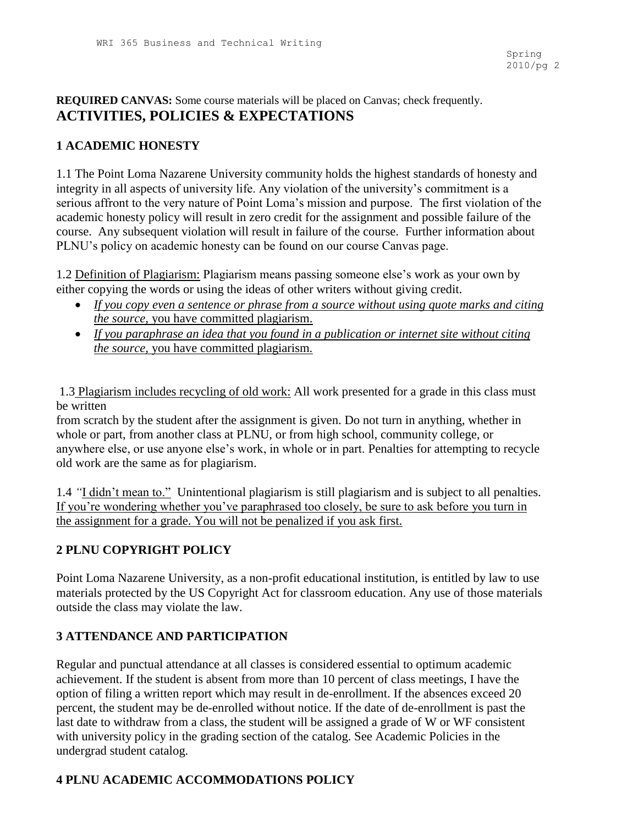## **REQUIRED CANVAS:** Some course materials will be placed on Canvas; check frequently. **ACTIVITIES, POLICIES & EXPECTATIONS**

## **1 ACADEMIC HONESTY**

1.1 The Point Loma Nazarene University community holds the highest standards of honesty and integrity in all aspects of university life. Any violation of the university's commitment is a serious affront to the very nature of Point Loma's mission and purpose. The first violation of the academic honesty policy will result in zero credit for the assignment and possible failure of the course. Any subsequent violation will result in failure of the course. Further information about PLNU's policy on academic honesty can be found on our course Canvas page.

1.2 Definition of Plagiarism: Plagiarism means passing someone else's work as your own by either copying the words or using the ideas of other writers without giving credit.

- *If you copy even a sentence or phrase from a source without using quote marks and citing the source,* you have committed plagiarism.
- *If you paraphrase an idea that you found in a publication or internet site without citing the source,* you have committed plagiarism*.*

1.3 Plagiarism includes recycling of old work: All work presented for a grade in this class must be written

from scratch by the student after the assignment is given. Do not turn in anything, whether in whole or part, from another class at PLNU, or from high school, community college, or anywhere else, or use anyone else's work, in whole or in part. Penalties for attempting to recycle old work are the same as for plagiarism.

1.4 *"*I didn't mean to." Unintentional plagiarism is still plagiarism and is subject to all penalties. If you're wondering whether you've paraphrased too closely, be sure to ask before you turn in the assignment for a grade. You will not be penalized if you ask first.

## **2 PLNU COPYRIGHT POLICY**

Point Loma Nazarene University, as a non-profit educational institution, is entitled by law to use materials protected by the US Copyright Act for classroom education. Any use of those materials outside the class may violate the law.

## **3 ATTENDANCE AND PARTICIPATION**

Regular and punctual attendance at all classes is considered essential to optimum academic achievement. If the student is absent from more than 10 percent of class meetings, I have the option of filing a written report which may result in de-enrollment. If the absences exceed 20 percent, the student may be de-enrolled without notice. If the date of de-enrollment is past the last date to withdraw from a class, the student will be assigned a grade of W or WF consistent with university policy in the grading section of the catalog. See Academic Policies in the undergrad student catalog.

## **4 PLNU ACADEMIC ACCOMMODATIONS POLICY**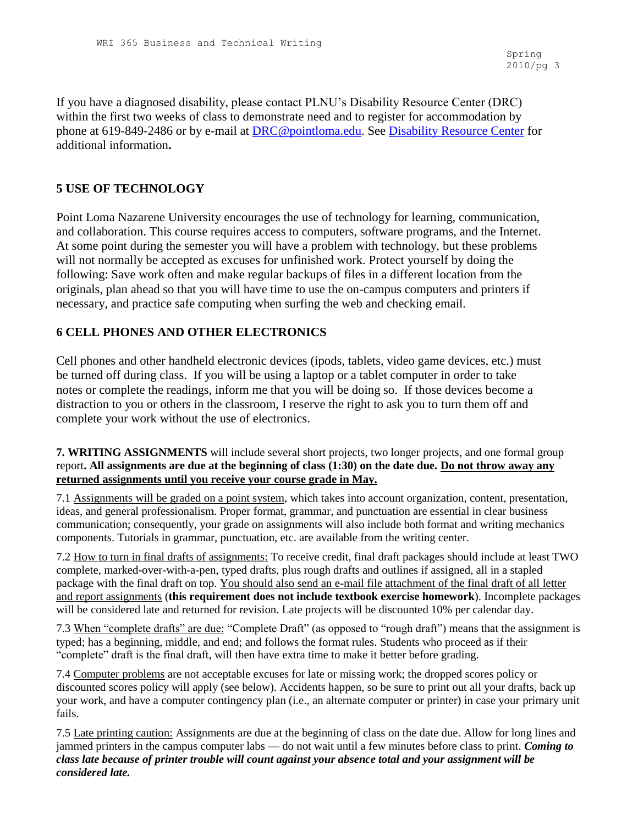If you have a diagnosed disability, please contact PLNU's Disability Resource Center (DRC) within the first two weeks of class to demonstrate need and to register for accommodation by phone at 619-849-2486 or by e-mail at [DRC@pointloma.edu.](mailto:DRC@pointloma.edu) See [Disability Resource Center](http://www.pointloma.edu/experience/offices/administrative-offices/academic-advising-office/disability-resource-center) for additional information**.**

## **5 USE OF TECHNOLOGY**

Point Loma Nazarene University encourages the use of technology for learning, communication, and collaboration. This course requires access to computers, software programs, and the Internet. At some point during the semester you will have a problem with technology, but these problems will not normally be accepted as excuses for unfinished work. Protect yourself by doing the following: Save work often and make regular backups of files in a different location from the originals, plan ahead so that you will have time to use the on-campus computers and printers if necessary, and practice safe computing when surfing the web and checking email.

## **6 CELL PHONES AND OTHER ELECTRONICS**

Cell phones and other handheld electronic devices (ipods, tablets, video game devices, etc.) must be turned off during class. If you will be using a laptop or a tablet computer in order to take notes or complete the readings, inform me that you will be doing so. If those devices become a distraction to you or others in the classroom, I reserve the right to ask you to turn them off and complete your work without the use of electronics.

#### **7. WRITING ASSIGNMENTS** will include several short projects, two longer projects, and one formal group report**. All assignments are due at the beginning of class (1:30) on the date due. Do not throw away any returned assignments until you receive your course grade in May.**

7.1 Assignments will be graded on a point system, which takes into account organization, content, presentation, ideas, and general professionalism. Proper format, grammar, and punctuation are essential in clear business communication; consequently, your grade on assignments will also include both format and writing mechanics components. Tutorials in grammar, punctuation, etc. are available from the writing center.

7.2 How to turn in final drafts of assignments: To receive credit, final draft packages should include at least TWO complete, marked-over-with-a-pen, typed drafts, plus rough drafts and outlines if assigned, all in a stapled package with the final draft on top. You should also send an e-mail file attachment of the final draft of all letter and report assignments (**this requirement does not include textbook exercise homework**). Incomplete packages will be considered late and returned for revision. Late projects will be discounted 10% per calendar day.

7.3 When "complete drafts" are due: "Complete Draft" (as opposed to "rough draft") means that the assignment is typed; has a beginning, middle, and end; and follows the format rules. Students who proceed as if their "complete" draft is the final draft, will then have extra time to make it better before grading.

7.4 Computer problems are not acceptable excuses for late or missing work; the dropped scores policy or discounted scores policy will apply (see below). Accidents happen, so be sure to print out all your drafts, back up your work, and have a computer contingency plan (i.e., an alternate computer or printer) in case your primary unit fails.

7.5 Late printing caution: Assignments are due at the beginning of class on the date due. Allow for long lines and jammed printers in the campus computer labs — do not wait until a few minutes before class to print. *Coming to class late because of printer trouble will count against your absence total and your assignment will be considered late.*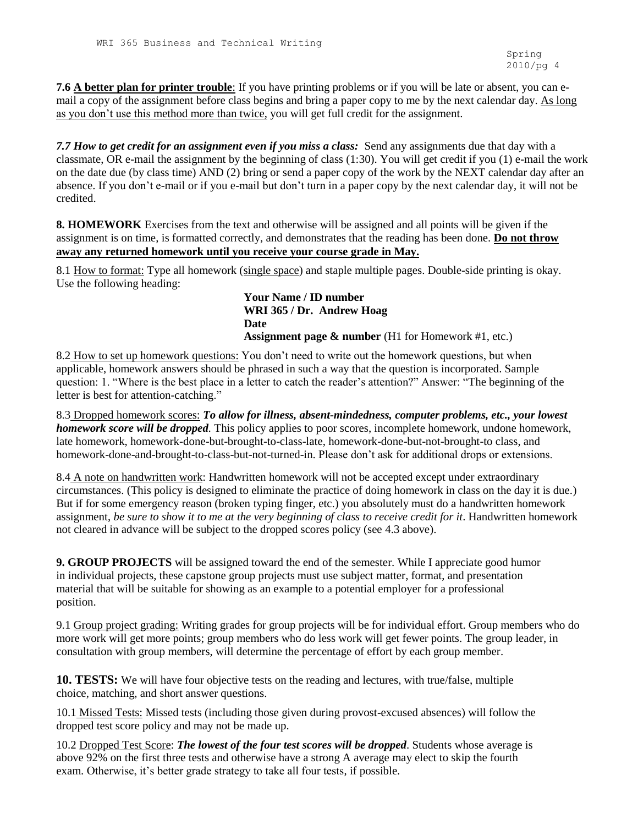**7.6 A better plan for printer trouble**: If you have printing problems or if you will be late or absent, you can email a copy of the assignment before class begins and bring a paper copy to me by the next calendar day. As long as you don't use this method more than twice, you will get full credit for the assignment.

*7.7 How to get credit for an assignment even if you miss a class:* Send any assignments due that day with a classmate, OR e-mail the assignment by the beginning of class (1:30). You will get credit if you (1) e-mail the work on the date due (by class time) AND (2) bring or send a paper copy of the work by the NEXT calendar day after an absence. If you don't e-mail or if you e-mail but don't turn in a paper copy by the next calendar day, it will not be credited.

**8. HOMEWORK** Exercises from the text and otherwise will be assigned and all points will be given if the assignment is on time, is formatted correctly, and demonstrates that the reading has been done. **Do not throw away any returned homework until you receive your course grade in May.**

8.1 How to format: Type all homework (single space) and staple multiple pages. Double-side printing is okay. Use the following heading:

> **Your Name / ID number WRI 365 / Dr. Andrew Hoag Date Assignment page & number** (H1 for Homework #1, etc.)

8.2 How to set up homework questions: You don't need to write out the homework questions, but when applicable, homework answers should be phrased in such a way that the question is incorporated. Sample question: 1. "Where is the best place in a letter to catch the reader's attention?" Answer: "The beginning of the letter is best for attention-catching."

8.3 Dropped homework scores: *To allow for illness, absent-mindedness, computer problems, etc., your lowest homework score will be dropped.* This policy applies to poor scores, incomplete homework, undone homework, late homework, homework-done-but-brought-to-class-late, homework-done-but-not-brought-to class, and homework-done-and-brought-to-class-but-not-turned-in. Please don't ask for additional drops or extensions.

8.4 A note on handwritten work: Handwritten homework will not be accepted except under extraordinary circumstances. (This policy is designed to eliminate the practice of doing homework in class on the day it is due.) But if for some emergency reason (broken typing finger, etc.) you absolutely must do a handwritten homework assignment, *be sure to show it to me at the very beginning of class to receive credit for it*. Handwritten homework not cleared in advance will be subject to the dropped scores policy (see 4.3 above).

**9. GROUP PROJECTS** will be assigned toward the end of the semester. While I appreciate good humor in individual projects, these capstone group projects must use subject matter, format, and presentation material that will be suitable for showing as an example to a potential employer for a professional position.

9.1 Group project grading: Writing grades for group projects will be for individual effort. Group members who do more work will get more points; group members who do less work will get fewer points. The group leader, in consultation with group members, will determine the percentage of effort by each group member.

**10. TESTS:** We will have four objective tests on the reading and lectures, with true/false, multiple choice, matching, and short answer questions.

10.1 Missed Tests: Missed tests (including those given during provost-excused absences) will follow the dropped test score policy and may not be made up.

10.2 Dropped Test Score: *The lowest of the four test scores will be dropped*. Students whose average is above 92% on the first three tests and otherwise have a strong A average may elect to skip the fourth exam. Otherwise, it's better grade strategy to take all four tests, if possible.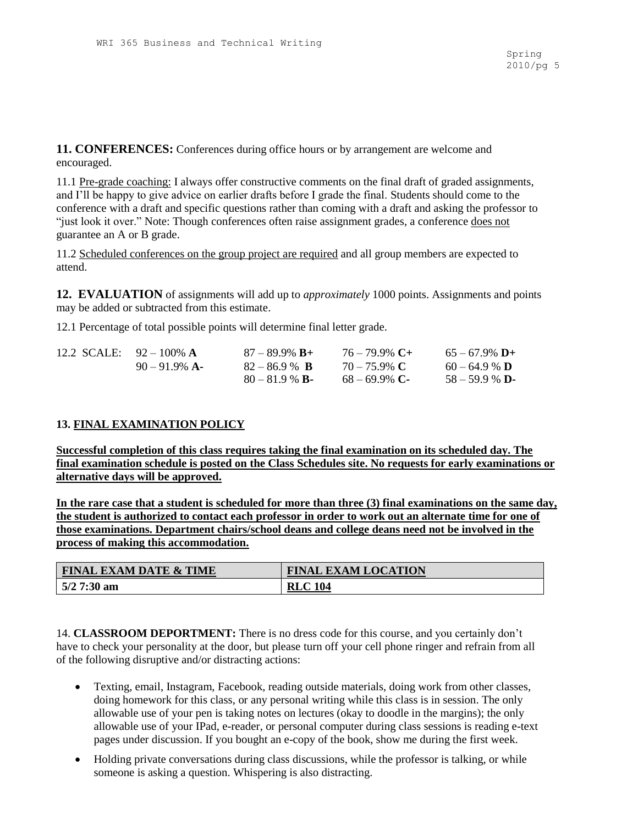**11. CONFERENCES:** Conferences during office hours or by arrangement are welcome and encouraged.

11.1 Pre-grade coaching: I always offer constructive comments on the final draft of graded assignments, and I'll be happy to give advice on earlier drafts before I grade the final. Students should come to the conference with a draft and specific questions rather than coming with a draft and asking the professor to "just look it over." Note: Though conferences often raise assignment grades, a conference does not guarantee an A or B grade.

11.2 Scheduled conferences on the group project are required and all group members are expected to attend.

**12. EVALUATION** of assignments will add up to *approximately* 1000 points. Assignments and points may be added or subtracted from this estimate.

12.1 Percentage of total possible points will determine final letter grade.

| 12.2 SCALE: $92 - 100\%$ A |                  | $87 - 89.9\%$ B+         | $76 - 79.9\%$ C+ | $65 - 67.9\%$ D+ |
|----------------------------|------------------|--------------------------|------------------|------------------|
|                            | $90 - 91.9\%$ A- | $82 - 86.9$ % <b>B</b>   | $70 - 75.9\%$ C  | $60 - 64.9$ % D  |
|                            |                  | $80 - 81.9$ % <b>B</b> - | $68 - 69.9\%$ C- | $58 - 59.9$ % D- |

#### **13. FINAL EXAMINATION POLICY**

**Successful completion of this class requires taking the final examination on its scheduled day. The final examination schedule is posted on the Class Schedules site. No requests for early examinations or alternative days will be approved.**

**In the rare case that a student is scheduled for more than three (3) final examinations on the same day, the student is authorized to contact each professor in order to work out an alternate time for one of those examinations. Department chairs/school deans and college deans need not be involved in the process of making this accommodation.** 

| <b>FINAL EXAM DATE &amp; TIME</b> | <b>FINAL EXAM LOCATION</b> |
|-----------------------------------|----------------------------|
| $5/2$ 7:30 am                     | <b>RLC 104</b>             |

14. **CLASSROOM DEPORTMENT:** There is no dress code for this course, and you certainly don't have to check your personality at the door, but please turn off your cell phone ringer and refrain from all of the following disruptive and/or distracting actions:

- Texting, email, Instagram, Facebook, reading outside materials, doing work from other classes, doing homework for this class, or any personal writing while this class is in session. The only allowable use of your pen is taking notes on lectures (okay to doodle in the margins); the only allowable use of your IPad, e-reader, or personal computer during class sessions is reading e-text pages under discussion. If you bought an e-copy of the book, show me during the first week.
- Holding private conversations during class discussions, while the professor is talking, or while someone is asking a question. Whispering is also distracting.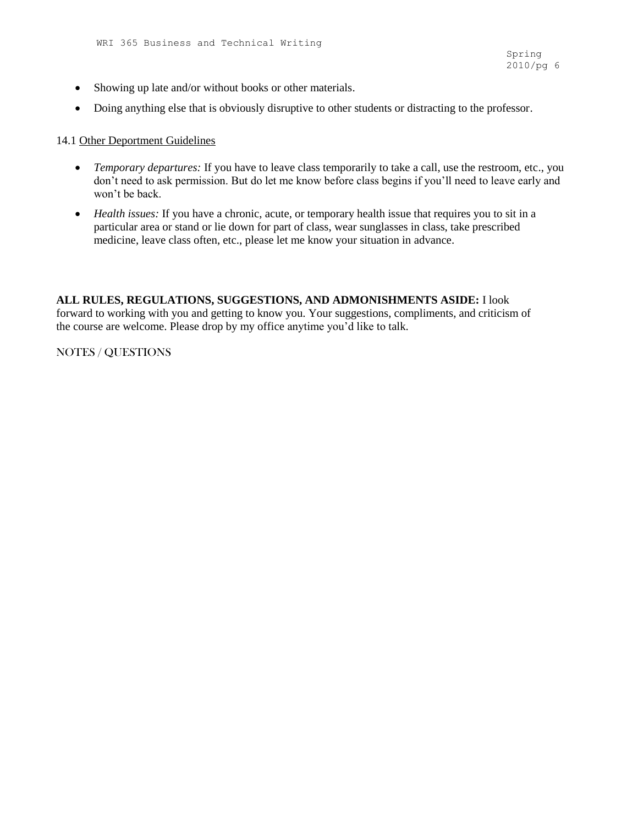- Showing up late and/or without books or other materials.
- Doing anything else that is obviously disruptive to other students or distracting to the professor.

#### 14.1 Other Deportment Guidelines

- *Temporary departures:* If you have to leave class temporarily to take a call, use the restroom, etc., you don't need to ask permission. But do let me know before class begins if you'll need to leave early and won't be back.
- *Health issues:* If you have a chronic, acute, or temporary health issue that requires you to sit in a particular area or stand or lie down for part of class, wear sunglasses in class, take prescribed medicine, leave class often, etc., please let me know your situation in advance.

#### **ALL RULES, REGULATIONS, SUGGESTIONS, AND ADMONISHMENTS ASIDE:** I look

forward to working with you and getting to know you. Your suggestions, compliments, and criticism of the course are welcome. Please drop by my office anytime you'd like to talk.

#### NOTES / QUESTIONS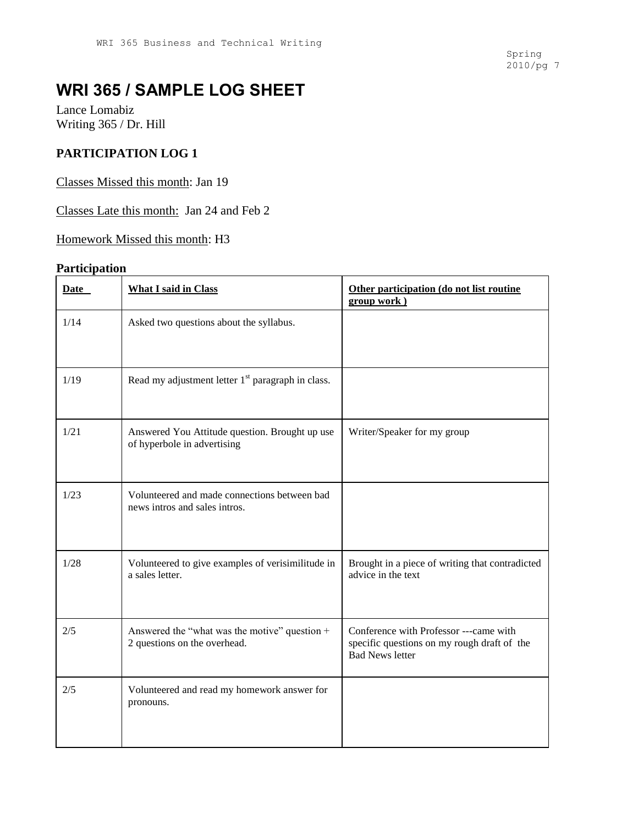# **WRI 365 / SAMPLE LOG SHEET**

Lance Lomabiz Writing 365 / Dr. Hill

## **PARTICIPATION LOG 1**

Classes Missed this month: Jan 19

Classes Late this month: Jan 24 and Feb 2

Homework Missed this month: H3

## **Participation**

| Date | <b>What I said in Class</b>                                                   | Other participation (do not list routine<br>group work)                                                          |
|------|-------------------------------------------------------------------------------|------------------------------------------------------------------------------------------------------------------|
| 1/14 | Asked two questions about the syllabus.                                       |                                                                                                                  |
| 1/19 | Read my adjustment letter $1st$ paragraph in class.                           |                                                                                                                  |
| 1/21 | Answered You Attitude question. Brought up use<br>of hyperbole in advertising | Writer/Speaker for my group                                                                                      |
| 1/23 | Volunteered and made connections between bad<br>news intros and sales intros. |                                                                                                                  |
| 1/28 | Volunteered to give examples of verisimilitude in<br>a sales letter.          | Brought in a piece of writing that contradicted<br>advice in the text                                            |
| 2/5  | Answered the "what was the motive" question +<br>2 questions on the overhead. | Conference with Professor --- came with<br>specific questions on my rough draft of the<br><b>Bad News letter</b> |
| 2/5  | Volunteered and read my homework answer for<br>pronouns.                      |                                                                                                                  |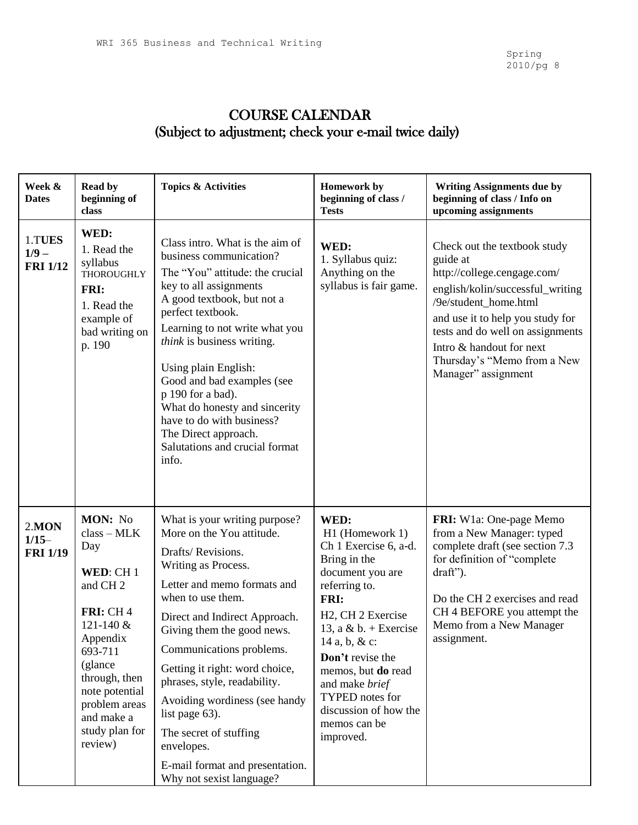## COURSE CALENDAR (Subject to adjustment; check your e-mail twice daily)

| Week &<br><b>Dates</b>               | <b>Read by</b><br>beginning of<br>class                                                                                                                                                                                       | <b>Topics &amp; Activities</b>                                                                                                                                                                                                                                                                                                                                                                                                                                                    | <b>Homework by</b><br>beginning of class /<br><b>Tests</b>                                                                                                                                                                                                                                                                                | <b>Writing Assignments due by</b><br>beginning of class / Info on<br>upcoming assignments                                                                                                                                                                                                      |
|--------------------------------------|-------------------------------------------------------------------------------------------------------------------------------------------------------------------------------------------------------------------------------|-----------------------------------------------------------------------------------------------------------------------------------------------------------------------------------------------------------------------------------------------------------------------------------------------------------------------------------------------------------------------------------------------------------------------------------------------------------------------------------|-------------------------------------------------------------------------------------------------------------------------------------------------------------------------------------------------------------------------------------------------------------------------------------------------------------------------------------------|------------------------------------------------------------------------------------------------------------------------------------------------------------------------------------------------------------------------------------------------------------------------------------------------|
| 1.TUES<br>$1/9 -$<br><b>FRI 1/12</b> | WED:<br>1. Read the<br>syllabus<br><b>THOROUGHLY</b><br>FRI:<br>1. Read the<br>example of<br>bad writing on<br>p. 190                                                                                                         | Class intro. What is the aim of<br>business communication?<br>The "You" attitude: the crucial<br>key to all assignments<br>A good textbook, but not a<br>perfect textbook.<br>Learning to not write what you<br>think is business writing.<br>Using plain English:<br>Good and bad examples (see<br>p 190 for a bad).<br>What do honesty and sincerity<br>have to do with business?<br>The Direct approach.<br>Salutations and crucial format<br>info.                            | WED:<br>1. Syllabus quiz:<br>Anything on the<br>syllabus is fair game.                                                                                                                                                                                                                                                                    | Check out the textbook study<br>guide at<br>http://college.cengage.com/<br>english/kolin/successful_writing<br>/9e/student_home.html<br>and use it to help you study for<br>tests and do well on assignments<br>Intro & handout for next<br>Thursday's "Memo from a New<br>Manager" assignment |
| 2.MON<br>$1/15-$<br><b>FRI 1/19</b>  | MON: No<br>$class - MLK$<br>Day<br>WED: CH 1<br>and CH <sub>2</sub><br>FRI: CH4<br>121-140 &<br>Appendix<br>693-711<br>(glance<br>through, then<br>note potential<br>problem areas<br>and make a<br>study plan for<br>review) | What is your writing purpose?<br>More on the You attitude.<br>Drafts/Revisions.<br>Writing as Process.<br>Letter and memo formats and<br>when to use them.<br>Direct and Indirect Approach.<br>Giving them the good news.<br>Communications problems.<br>Getting it right: word choice,<br>phrases, style, readability.<br>Avoiding wordiness (see handy<br>list page 63).<br>The secret of stuffing<br>envelopes.<br>E-mail format and presentation.<br>Why not sexist language? | WED:<br>H1 (Homework 1)<br>Ch 1 Exercise 6, a-d.<br>Bring in the<br>document you are<br>referring to.<br>FRI:<br>H <sub>2</sub> , CH <sub>2</sub> Exercise<br>13, a & b. + Exercise<br>14 a, b, & c:<br>Don't revise the<br>memos, but do read<br>and make brief<br>TYPED notes for<br>discussion of how the<br>memos can be<br>improved. | FRI: W1a: One-page Memo<br>from a New Manager: typed<br>complete draft (see section 7.3<br>for definition of "complete"<br>draft").<br>Do the CH <sub>2</sub> exercises and read<br>CH 4 BEFORE you attempt the<br>Memo from a New Manager<br>assignment.                                      |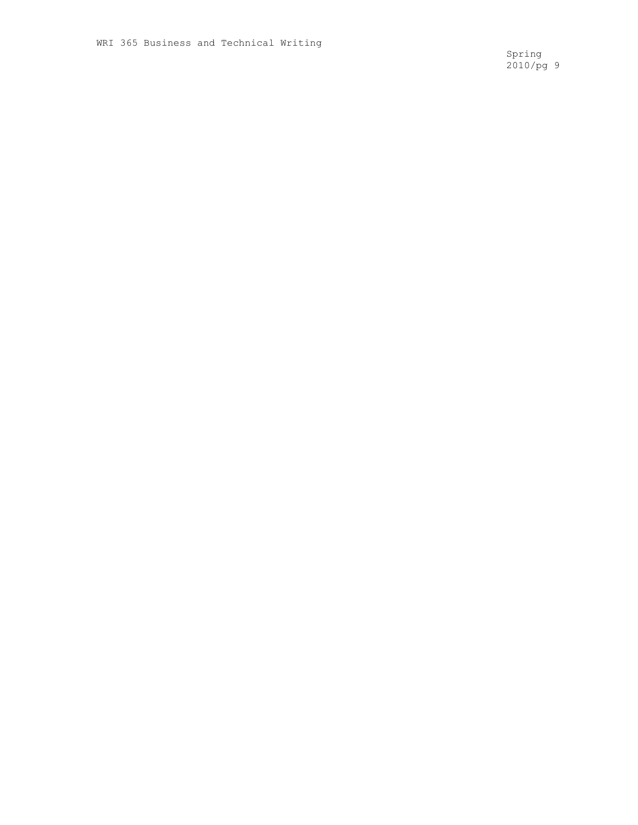Spring 2010/pg 9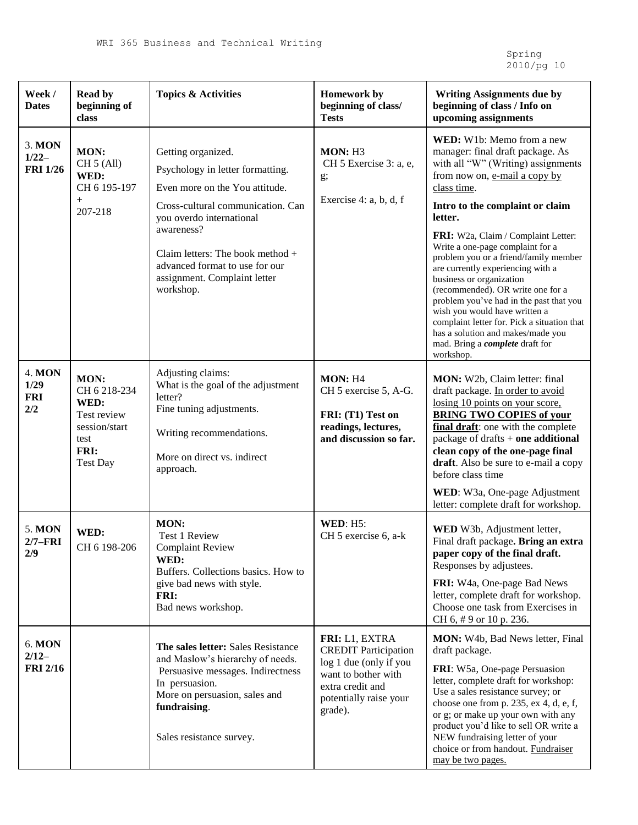| Week /<br><b>Dates</b>               | <b>Read by</b><br>beginning of<br>class                                                         | <b>Topics &amp; Activities</b>                                                                                                                                                                                                                                                             | <b>Homework by</b><br>beginning of class/<br><b>Tests</b>                                                                                               | <b>Writing Assignments due by</b><br>beginning of class / Info on<br>upcoming assignments                                                                                                                                                                                                                                                                                                                                                                                                                                                                                                                                                   |
|--------------------------------------|-------------------------------------------------------------------------------------------------|--------------------------------------------------------------------------------------------------------------------------------------------------------------------------------------------------------------------------------------------------------------------------------------------|---------------------------------------------------------------------------------------------------------------------------------------------------------|---------------------------------------------------------------------------------------------------------------------------------------------------------------------------------------------------------------------------------------------------------------------------------------------------------------------------------------------------------------------------------------------------------------------------------------------------------------------------------------------------------------------------------------------------------------------------------------------------------------------------------------------|
| 3. MON<br>$1/22-$<br><b>FRI 1/26</b> | MON:<br>CH <sub>5</sub> (All)<br>WED:<br>CH 6 195-197<br>$+$<br>207-218                         | Getting organized.<br>Psychology in letter formatting.<br>Even more on the You attitude.<br>Cross-cultural communication. Can<br>you overdo international<br>awareness?<br>Claim letters: The book method +<br>advanced format to use for our<br>assignment. Complaint letter<br>workshop. | MON: H3<br>CH 5 Exercise 3: a, e,<br>g;<br>Exercise 4: a, b, d, f                                                                                       | WED: W1b: Memo from a new<br>manager: final draft package. As<br>with all "W" (Writing) assignments<br>from now on, e-mail a copy by<br>class time.<br>Intro to the complaint or claim<br>letter.<br>FRI: W2a, Claim / Complaint Letter:<br>Write a one-page complaint for a<br>problem you or a friend/family member<br>are currently experiencing with a<br>business or organization<br>(recommended). OR write one for a<br>problem you've had in the past that you<br>wish you would have written a<br>complaint letter for. Pick a situation that<br>has a solution and makes/made you<br>mad. Bring a complete draft for<br>workshop. |
| 4. MON<br>1/29<br><b>FRI</b><br>2/2  | MON:<br>CH 6 218-234<br>WED:<br>Test review<br>session/start<br>test<br>FRI:<br><b>Test Day</b> | Adjusting claims:<br>What is the goal of the adjustment<br>letter?<br>Fine tuning adjustments.<br>Writing recommendations.<br>More on direct vs. indirect<br>approach.                                                                                                                     | <b>MON: H4</b><br>CH 5 exercise 5, A-G.<br>FRI: (T1) Test on<br>readings, lectures,<br>and discussion so far.                                           | MON: W2b, Claim letter: final<br>draft package. In order to avoid<br>losing 10 points on your score,<br><b>BRING TWO COPIES of your</b><br>final draft: one with the complete<br>package of drafts $+$ one additional<br>clean copy of the one-page final<br>draft. Also be sure to e-mail a copy<br>before class time<br>WED: W3a, One-page Adjustment<br>letter: complete draft for workshop.                                                                                                                                                                                                                                             |
| 5. MON<br>$2/7 - FRI$<br>2/9         | WED:<br>CH 6 198-206                                                                            | MON:<br><b>Test 1 Review</b><br><b>Complaint Review</b><br>WED:<br>Buffers. Collections basics. How to<br>give bad news with style.<br>FRI:<br>Bad news workshop.                                                                                                                          | <b>WED: H5:</b><br>CH 5 exercise 6, a-k                                                                                                                 | WED W3b, Adjustment letter,<br>Final draft package. Bring an extra<br>paper copy of the final draft.<br>Responses by adjustees.<br>FRI: W4a, One-page Bad News<br>letter, complete draft for workshop.<br>Choose one task from Exercises in<br>CH 6, #9 or 10 p. 236.                                                                                                                                                                                                                                                                                                                                                                       |
| 6. MON<br>$2/12-$<br><b>FRI 2/16</b> |                                                                                                 | The sales letter: Sales Resistance<br>and Maslow's hierarchy of needs.<br>Persuasive messages. Indirectness<br>In persuasion.<br>More on persuasion, sales and<br>fundraising.<br>Sales resistance survey.                                                                                 | FRI: L1, EXTRA<br><b>CREDIT Participation</b><br>log 1 due (only if you<br>want to bother with<br>extra credit and<br>potentially raise your<br>grade). | MON: W4b, Bad News letter, Final<br>draft package.<br>FRI: W5a, One-page Persuasion<br>letter, complete draft for workshop:<br>Use a sales resistance survey; or<br>choose one from $p. 235$ , $ex 4$ , $d, e, f$ ,<br>or g; or make up your own with any<br>product you'd like to sell OR write a<br>NEW fundraising letter of your<br>choice or from handout. Fundraiser<br>may be two pages.                                                                                                                                                                                                                                             |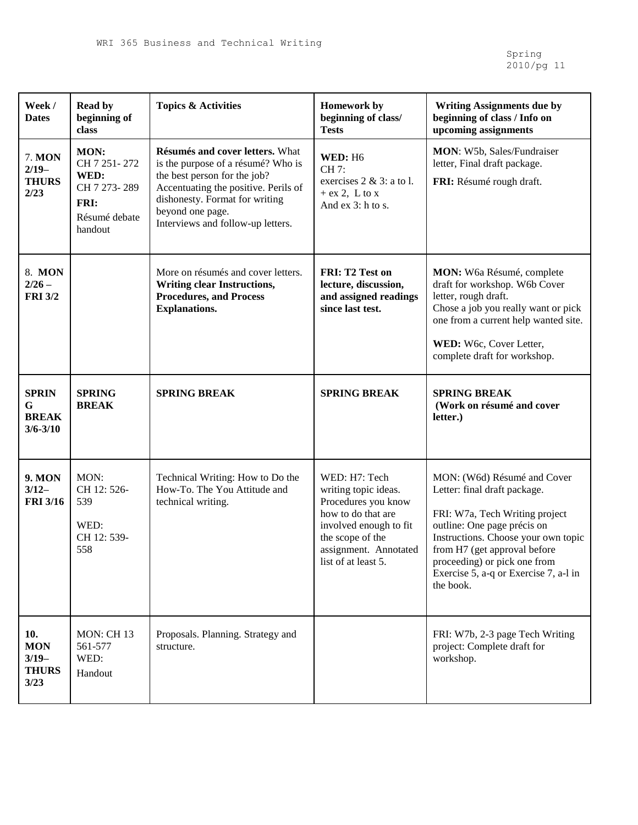| Week /<br><b>Dates</b>                               | <b>Read by</b><br>beginning of<br>class                                          | <b>Topics &amp; Activities</b>                                                                                                                                                                                                           | <b>Homework by</b><br>beginning of class/<br><b>Tests</b>                                                                                                                        | <b>Writing Assignments due by</b><br>beginning of class / Info on<br>upcoming assignments                                                                                                                                                                                                 |
|------------------------------------------------------|----------------------------------------------------------------------------------|------------------------------------------------------------------------------------------------------------------------------------------------------------------------------------------------------------------------------------------|----------------------------------------------------------------------------------------------------------------------------------------------------------------------------------|-------------------------------------------------------------------------------------------------------------------------------------------------------------------------------------------------------------------------------------------------------------------------------------------|
| 7. MON<br>$2/19-$<br><b>THURS</b><br>2/23            | MON:<br>CH 7 251-272<br>WED:<br>CH 7 273-289<br>FRI:<br>Résumé debate<br>handout | Résumés and cover letters. What<br>is the purpose of a résumé? Who is<br>the best person for the job?<br>Accentuating the positive. Perils of<br>dishonesty. Format for writing<br>beyond one page.<br>Interviews and follow-up letters. | <b>WED: H6</b><br>CH 7:<br>exercises $2 \& 3$ : a to 1.<br>$+$ ex 2, L to x<br>And ex 3: h to s.                                                                                 | MON: W5b, Sales/Fundraiser<br>letter, Final draft package.<br>FRI: Résumé rough draft.                                                                                                                                                                                                    |
| 8. MON<br>$2/26 -$<br><b>FRI 3/2</b>                 |                                                                                  | More on résumés and cover letters.<br><b>Writing clear Instructions,</b><br><b>Procedures, and Process</b><br><b>Explanations.</b>                                                                                                       | FRI: T2 Test on<br>lecture, discussion,<br>and assigned readings<br>since last test.                                                                                             | MON: W6a Résumé, complete<br>draft for workshop. W6b Cover<br>letter, rough draft.<br>Chose a job you really want or pick<br>one from a current help wanted site.<br>WED: W6c, Cover Letter,<br>complete draft for workshop.                                                              |
| <b>SPRIN</b><br>G<br><b>BREAK</b><br>$3/6 - 3/10$    | <b>SPRING</b><br><b>BREAK</b>                                                    | <b>SPRING BREAK</b>                                                                                                                                                                                                                      | <b>SPRING BREAK</b>                                                                                                                                                              | <b>SPRING BREAK</b><br>(Work on résumé and cover<br>letter.)                                                                                                                                                                                                                              |
| <b>9. MON</b><br>$3/12-$<br><b>FRI 3/16</b>          | MON:<br>CH 12: 526-<br>539<br>WED:<br>CH 12: 539-<br>558                         | Technical Writing: How to Do the<br>How-To. The You Attitude and<br>technical writing.                                                                                                                                                   | WED: H7: Tech<br>writing topic ideas.<br>Procedures you know<br>how to do that are<br>involved enough to fit<br>the scope of the<br>assignment. Annotated<br>list of at least 5. | MON: (W6d) Résumé and Cover<br>Letter: final draft package.<br>FRI: W7a, Tech Writing project<br>outline: One page précis on<br>Instructions. Choose your own topic<br>from H7 (get approval before<br>proceeding) or pick one from<br>Exercise 5, a-q or Exercise 7, a-l in<br>the book. |
| 10.<br><b>MON</b><br>$3/19-$<br><b>THURS</b><br>3/23 | <b>MON: CH13</b><br>561-577<br>WED:<br>Handout                                   | Proposals. Planning. Strategy and<br>structure.                                                                                                                                                                                          |                                                                                                                                                                                  | FRI: W7b, 2-3 page Tech Writing<br>project: Complete draft for<br>workshop.                                                                                                                                                                                                               |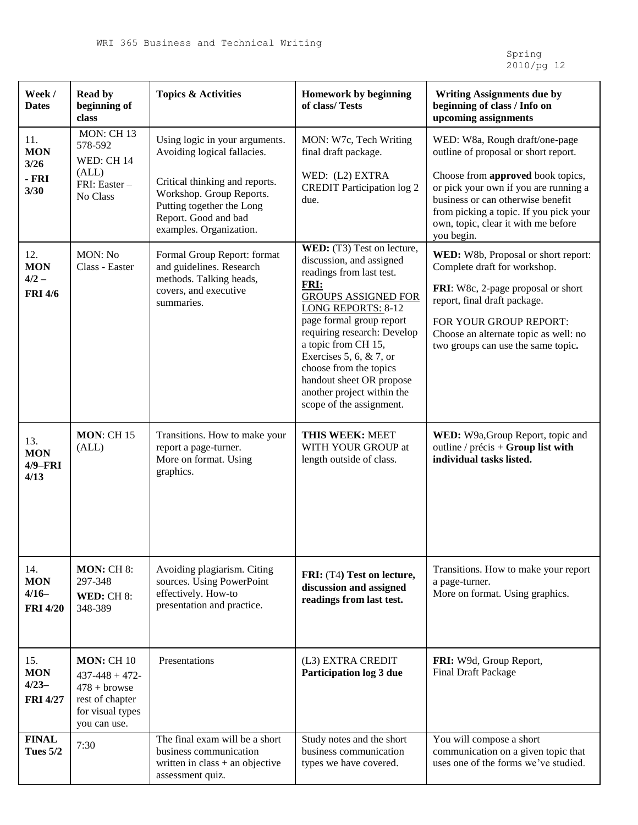| Week /<br><b>Dates</b>                          | <b>Read by</b><br>beginning of<br>class                                                                         | <b>Topics &amp; Activities</b>                                                                                                             | Homework by beginning<br>of class/Tests                                                                                                                                                                                                                                                                                                                                               | <b>Writing Assignments due by</b><br>beginning of class / Info on<br>upcoming assignments                                                                                                                                                          |
|-------------------------------------------------|-----------------------------------------------------------------------------------------------------------------|--------------------------------------------------------------------------------------------------------------------------------------------|---------------------------------------------------------------------------------------------------------------------------------------------------------------------------------------------------------------------------------------------------------------------------------------------------------------------------------------------------------------------------------------|----------------------------------------------------------------------------------------------------------------------------------------------------------------------------------------------------------------------------------------------------|
| 11.<br><b>MON</b><br>3/26                       | MON: CH 13<br>578-592<br><b>WED: CH 14</b>                                                                      | Using logic in your arguments.<br>Avoiding logical fallacies.                                                                              | MON: W7c, Tech Writing<br>final draft package.                                                                                                                                                                                                                                                                                                                                        | WED: W8a, Rough draft/one-page<br>outline of proposal or short report.                                                                                                                                                                             |
| $ \bf{FRI}$<br>3/30                             | (ALL)<br>FRI: Easter -<br>No Class                                                                              | Critical thinking and reports.<br>Workshop. Group Reports.<br>Putting together the Long<br>Report. Good and bad<br>examples. Organization. | WED: (L2) EXTRA<br><b>CREDIT Participation log 2</b><br>due.                                                                                                                                                                                                                                                                                                                          | Choose from approved book topics,<br>or pick your own if you are running a<br>business or can otherwise benefit<br>from picking a topic. If you pick your<br>own, topic, clear it with me before<br>you begin.                                     |
| 12.<br><b>MON</b><br>$4/2 -$<br><b>FRI 4/6</b>  | MON: No<br>Class - Easter                                                                                       | Formal Group Report: format<br>and guidelines. Research<br>methods. Talking heads,<br>covers, and executive<br>summaries.                  | WED: (T3) Test on lecture,<br>discussion, and assigned<br>readings from last test.<br>FRI:<br><b>GROUPS ASSIGNED FOR</b><br><b>LONG REPORTS: 8-12</b><br>page formal group report<br>requiring research: Develop<br>a topic from CH 15,<br>Exercises 5, 6, $& 7$ , or<br>choose from the topics<br>handout sheet OR propose<br>another project within the<br>scope of the assignment. | WED: W8b, Proposal or short report:<br>Complete draft for workshop.<br>FRI: W8c, 2-page proposal or short<br>report, final draft package.<br>FOR YOUR GROUP REPORT:<br>Choose an alternate topic as well: no<br>two groups can use the same topic. |
| 13.<br><b>MON</b><br>$4/9$ -FRI<br>4/13         | <b>MON: CH15</b><br>(ALL)                                                                                       | Transitions. How to make your<br>report a page-turner.<br>More on format. Using<br>graphics.                                               | THIS WEEK: MEET<br>WITH YOUR GROUP at<br>length outside of class.                                                                                                                                                                                                                                                                                                                     | WED: W9a, Group Report, topic and<br>outline / $précis + Group list with$<br>individual tasks listed.                                                                                                                                              |
| 14.<br><b>MON</b><br>$4/16-$<br><b>FRI 4/20</b> | <b>MON: CH 8:</b><br>297-348<br>WED: CH 8:<br>348-389                                                           | Avoiding plagiarism. Citing<br>sources. Using PowerPoint<br>effectively. How-to<br>presentation and practice.                              | FRI: (T4) Test on lecture,<br>discussion and assigned<br>readings from last test.                                                                                                                                                                                                                                                                                                     | Transitions. How to make your report<br>a page-turner.<br>More on format. Using graphics.                                                                                                                                                          |
| 15.<br><b>MON</b><br>$4/23-$<br><b>FRI 4/27</b> | <b>MON: CH 10</b><br>$437 - 448 + 472$<br>$478 +$ browse<br>rest of chapter<br>for visual types<br>you can use. | Presentations                                                                                                                              | (L3) EXTRA CREDIT<br>Participation log 3 due                                                                                                                                                                                                                                                                                                                                          | FRI: W9d, Group Report,<br><b>Final Draft Package</b>                                                                                                                                                                                              |
| <b>FINAL</b><br><b>Tues 5/2</b>                 | 7:30                                                                                                            | The final exam will be a short<br>business communication<br>written in $class + an objective$<br>assessment quiz.                          | Study notes and the short<br>business communication<br>types we have covered.                                                                                                                                                                                                                                                                                                         | You will compose a short<br>communication on a given topic that<br>uses one of the forms we've studied.                                                                                                                                            |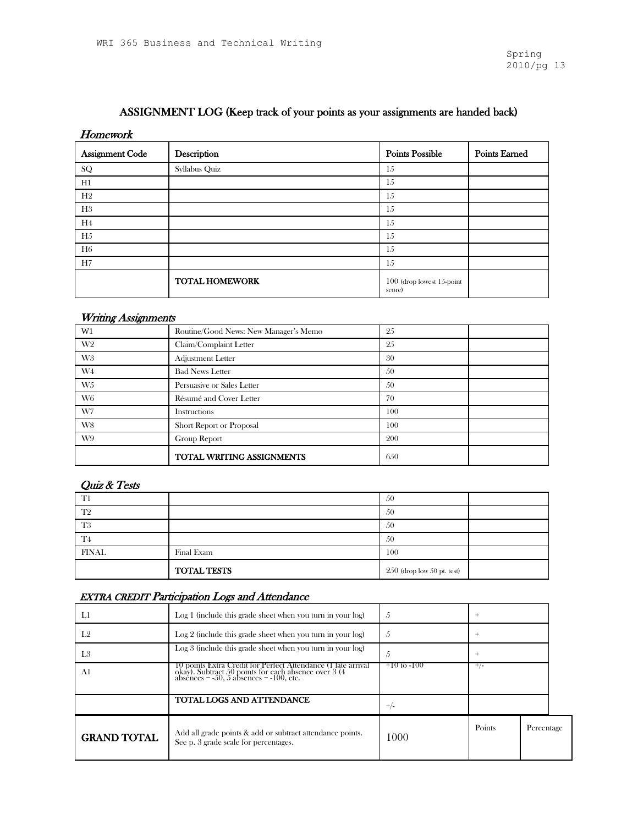## ASSIGNMENT LOG (Keep track of your points as your assignments are handed back)

#### Homework

| <b>Assignment Code</b> | Description           | <b>Points Possible</b>                | <b>Points Earned</b> |
|------------------------|-----------------------|---------------------------------------|----------------------|
| SQ                     | Syllabus Quiz         | 15                                    |                      |
| H1                     |                       | 15                                    |                      |
| H2                     |                       | 15                                    |                      |
| H3                     |                       | 15                                    |                      |
| H4                     |                       | 15                                    |                      |
| H <sub>5</sub>         |                       | 15                                    |                      |
| H6                     |                       | 15                                    |                      |
| H7                     |                       | 15                                    |                      |
|                        | <b>TOTAL HOMEWORK</b> | $100$ (drop lowest 15-point<br>score) |                      |

#### **Writing Assignments**

| W1             | Routine/Good News: New Manager's Memo | 25  |  |
|----------------|---------------------------------------|-----|--|
| W <sub>2</sub> | Claim/Complaint Letter                | 25  |  |
| W <sub>3</sub> | Adjustment Letter                     | 30  |  |
| W4             | <b>Bad News Letter</b>                | 50  |  |
| W <sub>5</sub> | Persuasive or Sales Letter            | 50  |  |
| W <sub>6</sub> | Résumé and Cover Letter               | 70  |  |
| W7             | Instructions                          | 100 |  |
| W8             | Short Report or Proposal              | 100 |  |
| W9             | Group Report                          | 200 |  |
|                | TOTAL WRITING ASSIGNMENTS             | 650 |  |

#### Quiz & Tests

| <b>FINAL</b>                     | Final Exam | 100        |  |
|----------------------------------|------------|------------|--|
| T <sub>3</sub><br>T <sub>4</sub> |            | -50<br>.50 |  |
| T2                               |            | 50         |  |
| T1                               |            | 50         |  |

## EXTRA CREDIT Participation Logs and Attendance

| Ll                 | $Log 1$ (include this grade sheet when you turn in your $log$ )                                                                                                  | $\Delta$        |          |            |  |
|--------------------|------------------------------------------------------------------------------------------------------------------------------------------------------------------|-----------------|----------|------------|--|
| L2                 | $\text{Log } 2$ (include this grade sheet when you turn in your $\log$ )                                                                                         | O.              | $^{+}$   |            |  |
| L <sub>3</sub>     | $\text{Log } 3$ (include this grade sheet when you turn in your $\log$ )                                                                                         | O.              |          |            |  |
| Αl                 | 10 points Extra Credit for Perfect Attendance (1 late arrival okay). Subtract 50 points for each absences $\approx$ 3 (4 absences = -50, 5 absences = -100, etc. | $+10$ to $-100$ | $^{+/-}$ |            |  |
|                    | <b>TOTAL LOGS AND ATTENDANCE</b>                                                                                                                                 | $+/-$           |          |            |  |
| <b>GRAND TOTAL</b> | Add all grade points & add or subtract attendance points.<br>See p. 3 grade scale for percentages.                                                               | 1000            | Points   | Percentage |  |